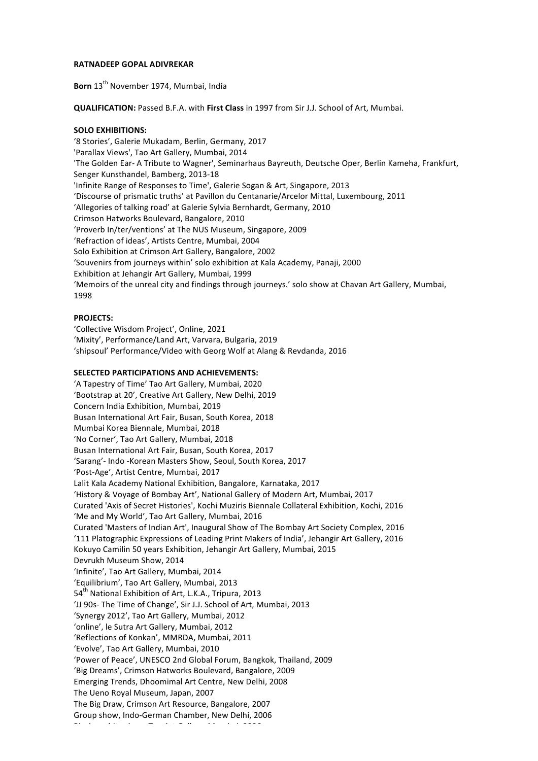## **RATNADEEP GOPAL ADIVREKAR**

Born 13<sup>th</sup> November 1974, Mumbai, India

**QUALIFICATION:** Passed B.F.A. with *First Class* in 1997 from Sir J.J. School of Art, Mumbai.

## **SOLO EXHIBITIONS:**

'8 Stories', Galerie Mukadam, Berlin, Germany, 2017 'Parallax Views', Tao Art Gallery, Mumbai, 2014 'The Golden Ear- A Tribute to Wagner', Seminarhaus Bayreuth, Deutsche Oper, Berlin Kameha, Frankfurt, Senger Kunsthandel, Bamberg, 2013-18 'Infinite Range of Responses to Time', Galerie Sogan & Art, Singapore, 2013 'Discourse of prismatic truths' at Pavillon du Centanarie/Arcelor Mittal, Luxembourg, 2011 'Allegories of talking road' at Galerie Sylvia Bernhardt, Germany, 2010 Crimson Hatworks Boulevard, Bangalore, 2010 'Proverb In/ter/ventions' at The NUS Museum, Singapore, 2009 'Refraction of ideas', Artists Centre, Mumbai, 2004 Solo Exhibition at Crimson Art Gallery, Bangalore, 2002 'Souvenirs from journeys within' solo exhibition at Kala Academy, Panaji, 2000 Exhibition at Jehangir Art Gallery, Mumbai, 1999 'Memoirs of the unreal city and findings through journeys.' solo show at Chavan Art Gallery, Mumbai, 1998

## **PROJECTS:**

'Collective Wisdom Project', Online, 2021 'Mixity', Performance/Land Art, Varvara, Bulgaria, 2019 'shipsoul' Performance/Video with Georg Wolf at Alang & Revdanda, 2016

## **SELECTED PARTICIPATIONS AND ACHIEVEMENTS:**

'A Tapestry of Time' Tao Art Gallery, Mumbai, 2020 'Bootstrap at 20', Creative Art Gallery, New Delhi, 2019 Concern India Exhibition, Mumbai, 2019 Busan International Art Fair, Busan, South Korea, 2018 Mumbai Korea Biennale, Mumbai, 2018 'No Corner', Tao Art Gallery, Mumbai, 2018 Busan International Art Fair, Busan, South Korea, 2017 'Sarang'- Indo -Korean Masters Show, Seoul, South Korea, 2017 'Post-Age', Artist Centre, Mumbai, 2017 Lalit Kala Academy National Exhibition, Bangalore, Karnataka, 2017 'History & Voyage of Bombay Art', National Gallery of Modern Art, Mumbai, 2017 Curated 'Axis of Secret Histories', Kochi Muziris Biennale Collateral Exhibition, Kochi, 2016 'Me and My World', Tao Art Gallery, Mumbai, 2016 Curated 'Masters of Indian Art', Inaugural Show of The Bombay Art Society Complex, 2016 '111 Platographic Expressions of Leading Print Makers of India', Jehangir Art Gallery, 2016 Kokuyo Camilin 50 years Exhibition, Jehangir Art Gallery, Mumbai, 2015 Devrukh Museum Show, 2014 'Infinite', Tao Art Gallery, Mumbai, 2014 'Equilibrium', Tao Art Gallery, Mumbai, 2013 54<sup>th</sup> National Exhibition of Art, L.K.A., Tripura, 2013 'JJ 90s- The Time of Change', Sir J.J. School of Art, Mumbai, 2013 'Synergy 2012', Tao Art Gallery, Mumbai, 2012 'online', le Sutra Art Gallery, Mumbai, 2012 'Reflections of Konkan', MMRDA, Mumbai, 2011 'Evolve', Tao Art Gallery, Mumbai, 2010 'Power of Peace', UNESCO 2nd Global Forum, Bangkok, Thailand, 2009 'Big Dreams', Crimson Hatworks Boulevard, Bangalore, 2009 Emerging Trends, Dhoomimal Art Centre, New Delhi, 2008 The Ueno Royal Museum, Japan, 2007 The Big Draw, Crimson Art Resource, Bangalore, 2007 Group show, Indo-German Chamber, New Delhi, 2006 Black of the show show  $\theta$  are  $\theta$  are  $\theta$  are  $\theta$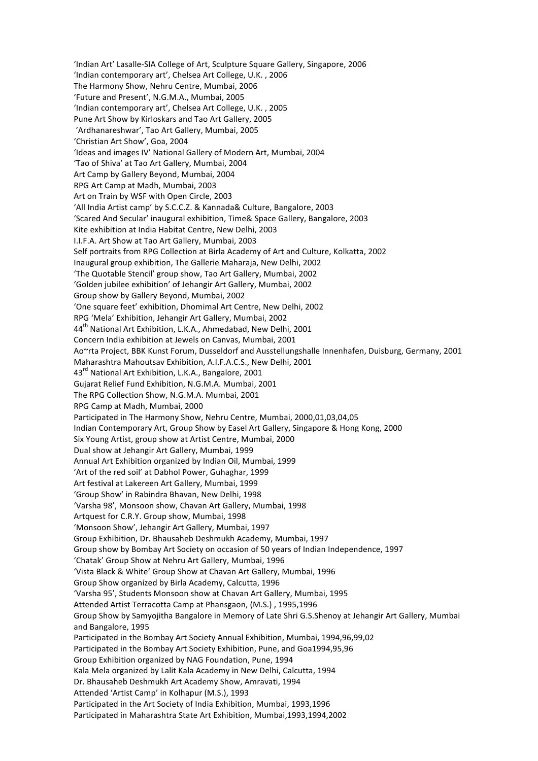'Indian Art' Lasalle-SIA College of Art, Sculpture Square Gallery, Singapore, 2006 'Indian contemporary art', Chelsea Art College, U.K., 2006 The Harmony Show, Nehru Centre, Mumbai, 2006 'Future and Present', N.G.M.A., Mumbai, 2005 'Indian contemporary art', Chelsea Art College, U.K., 2005 Pune Art Show by Kirloskars and Tao Art Gallery, 2005 'Ardhanareshwar', Tao Art Gallery, Mumbai, 2005 'Christian Art Show', Goa, 2004 'Ideas and images IV' National Gallery of Modern Art, Mumbai, 2004 'Tao of Shiva' at Tao Art Gallery, Mumbai, 2004 Art Camp by Gallery Beyond, Mumbai, 2004 RPG Art Camp at Madh, Mumbai, 2003 Art on Train by WSF with Open Circle, 2003 'All India Artist camp' by S.C.C.Z. & Kannada& Culture, Bangalore, 2003 'Scared And Secular' inaugural exhibition, Time& Space Gallery, Bangalore, 2003 Kite exhibition at India Habitat Centre, New Delhi, 2003 I.I.F.A. Art Show at Tao Art Gallery, Mumbai, 2003 Self portraits from RPG Collection at Birla Academy of Art and Culture, Kolkatta, 2002 Inaugural group exhibition, The Gallerie Maharaja, New Delhi, 2002 'The Quotable Stencil' group show, Tao Art Gallery, Mumbai, 2002 'Golden jubilee exhibition' of Jehangir Art Gallery, Mumbai, 2002 Group show by Gallery Beyond, Mumbai, 2002 'One square feet' exhibition, Dhomimal Art Centre, New Delhi, 2002 RPG 'Mela' Exhibition, Jehangir Art Gallery, Mumbai, 2002 44<sup>th</sup> National Art Exhibition, L.K.A., Ahmedabad, New Delhi, 2001 Concern India exhibition at Jewels on Canvas, Mumbai, 2001 Ao~rta Project, BBK Kunst Forum, Dusseldorf and Ausstellungshalle Innenhafen, Duisburg, Germany, 2001 Maharashtra Mahoutsay Exhibition, A.I.F.A.C.S., New Delhi, 2001 43<sup>rd</sup> National Art Exhibition, L.K.A., Bangalore, 2001 Gujarat Relief Fund Exhibition, N.G.M.A. Mumbai, 2001 The RPG Collection Show, N.G.M.A. Mumbai, 2001 RPG Camp at Madh, Mumbai, 2000 Participated in The Harmony Show, Nehru Centre, Mumbai, 2000,01,03,04,05 Indian Contemporary Art, Group Show by Easel Art Gallery, Singapore & Hong Kong, 2000 Six Young Artist, group show at Artist Centre, Mumbai, 2000 Dual show at Jehangir Art Gallery, Mumbai, 1999 Annual Art Exhibition organized by Indian Oil, Mumbai, 1999 'Art of the red soil' at Dabhol Power, Guhaghar, 1999 Art festival at Lakereen Art Gallery, Mumbai, 1999 'Group Show' in Rabindra Bhavan, New Delhi, 1998 'Varsha 98', Monsoon show, Chavan Art Gallery, Mumbai, 1998 Artquest for C.R.Y. Group show, Mumbai, 1998 'Monsoon Show', Jehangir Art Gallery, Mumbai, 1997 Group Exhibition, Dr. Bhausaheb Deshmukh Academy, Mumbai, 1997 Group show by Bombay Art Society on occasion of 50 years of Indian Independence, 1997 'Chatak' Group Show at Nehru Art Gallery, Mumbai, 1996 'Vista Black & White' Group Show at Chavan Art Gallery, Mumbai, 1996 Group Show organized by Birla Academy, Calcutta, 1996 'Varsha 95', Students Monsoon show at Chavan Art Gallery, Mumbai, 1995 Attended Artist Terracotta Camp at Phansgaon, (M.S.), 1995,1996 Group Show by Samyojitha Bangalore in Memory of Late Shri G.S.Shenoy at Jehangir Art Gallery, Mumbai and Bangalore, 1995 Participated in the Bombay Art Society Annual Exhibition, Mumbai, 1994,96,99,02 Participated in the Bombay Art Society Exhibition, Pune, and Goa1994,95,96 Group Exhibition organized by NAG Foundation, Pune, 1994 Kala Mela organized by Lalit Kala Academy in New Delhi, Calcutta, 1994 Dr. Bhausaheb Deshmukh Art Academy Show, Amravati, 1994 Attended 'Artist Camp' in Kolhapur (M.S.), 1993 Participated in the Art Society of India Exhibition, Mumbai, 1993,1996 Participated in Maharashtra State Art Exhibition, Mumbai,1993,1994,2002